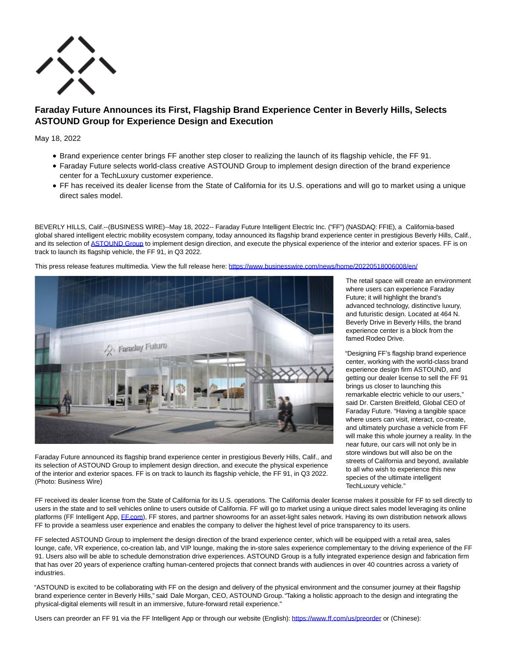

# **Faraday Future Announces its First, Flagship Brand Experience Center in Beverly Hills, Selects ASTOUND Group for Experience Design and Execution**

May 18, 2022

- Brand experience center brings FF another step closer to realizing the launch of its flagship vehicle, the FF 91.
- Faraday Future selects world-class creative ASTOUND Group to implement design direction of the brand experience center for a TechLuxury customer experience.
- FF has received its dealer license from the State of California for its U.S. operations and will go to market using a unique direct sales model.

BEVERLY HILLS, Calif.--(BUSINESS WIRE)--May 18, 2022-- Faraday Future Intelligent Electric Inc. ("FF") (NASDAQ: FFIE), a California-based global shared intelligent electric mobility ecosystem company, today announced its flagship brand experience center in prestigious Beverly Hills, Calif., and its selection of [ASTOUND Group t](https://cts.businesswire.com/ct/CT?id=smartlink&url=https%3A%2F%2Fwww.astoundgroup.com%2F&esheet=52723723&newsitemid=20220518006008&lan=en-US&anchor=ASTOUND+Group&index=1&md5=5fa944333a541c61c10d134b0456e7b9)o implement design direction, and execute the physical experience of the interior and exterior spaces. FF is on track to launch its flagship vehicle, the FF 91, in Q3 2022.



This press release features multimedia. View the full release here:<https://www.businesswire.com/news/home/20220518006008/en/>

Faraday Future announced its flagship brand experience center in prestigious Beverly Hills, Calif., and its selection of ASTOUND Group to implement design direction, and execute the physical experience of the interior and exterior spaces. FF is on track to launch its flagship vehicle, the FF 91, in Q3 2022. (Photo: Business Wire)

The retail space will create an environment where users can experience Faraday Future; it will highlight the brand's advanced technology, distinctive luxury, and futuristic design. Located at 464 N. Beverly Drive in Beverly Hills, the brand experience center is a block from the famed Rodeo Drive.

"Designing FF's flagship brand experience center, working with the world-class brand experience design firm ASTOUND, and getting our dealer license to sell the FF 91 brings us closer to launching this remarkable electric vehicle to our users," said Dr. Carsten Breitfeld, Global CEO of Faraday Future. "Having a tangible space where users can visit, interact, co-create, and ultimately purchase a vehicle from FF will make this whole journey a reality. In the near future, our cars will not only be in store windows but will also be on the streets of California and beyond, available to all who wish to experience this new species of the ultimate intelligent TechLuxury vehicle."

FF received its dealer license from the State of California for its U.S. operations. The California dealer license makes it possible for FF to sell directly to users in the state and to sell vehicles online to users outside of California. FF will go to market using a unique direct sales model leveraging its online platforms (FF Intelligent App[, FF.com\),](http://ff.com/) FF stores, and partner showrooms for an asset-light sales network. Having its own distribution network allows FF to provide a seamless user experience and enables the company to deliver the highest level of price transparency to its users.

FF selected ASTOUND Group to implement the design direction of the brand experience center, which will be equipped with a retail area, sales lounge, cafe, VR experience, co-creation lab, and VIP lounge, making the in-store sales experience complementary to the driving experience of the FF 91. Users also will be able to schedule demonstration drive experiences. ASTOUND Group is a fully integrated experience design and fabrication firm that has over 20 years of experience crafting human-centered projects that connect brands with audiences in over 40 countries across a variety of industries.

"ASTOUND is excited to be collaborating with FF on the design and delivery of the physical environment and the consumer journey at their flagship brand experience center in Beverly Hills," said Dale Morgan, CEO, ASTOUND Group. "Taking a holistic approach to the design and integrating the physical-digital elements will result in an immersive, future-forward retail experience."

Users can preorder an FF 91 via the FF Intelligent App or through our website (English): [https://www.ff.com/us/preorder o](https://cts.businesswire.com/ct/CT?id=smartlink&url=https%3A%2F%2Fwww.ff.com%2Fus%2Fpreorder&esheet=52723723&newsitemid=20220518006008&lan=en-US&anchor=https%3A%2F%2Fwww.ff.com%2Fus%2Fpreorder&index=2&md5=7b05fa108487886c1e974918931d9d0e)r (Chinese):